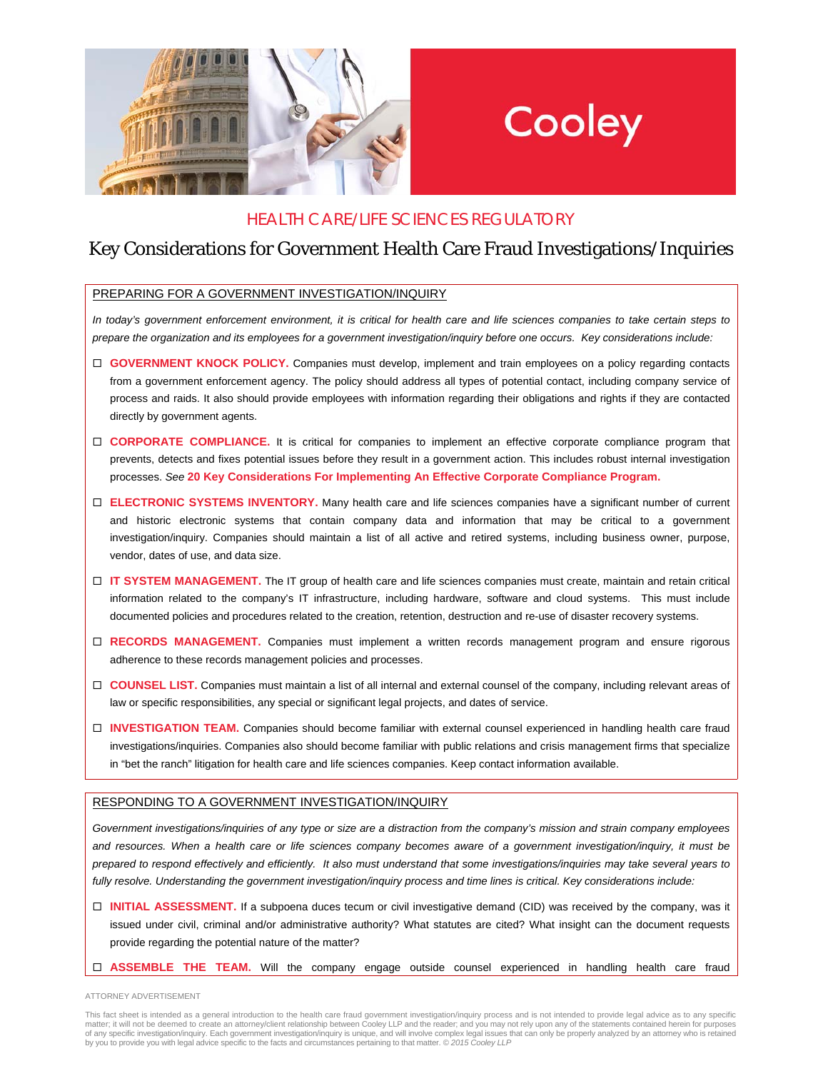

# Cooley

## HEALTH CARE/LIFE SCIENCES REGULATORY

## Key Considerations for Government Health Care Fraud Investigations/Inquiries

#### PREPARING FOR A GOVERNMENT INVESTIGATION/INQUIRY

*In today's government enforcement environment, it is critical for health care and life sciences companies to take certain steps to prepare the organization and its employees for a government investigation/inquiry before one occurs. Key considerations include:* 

- **GOVERNMENT KNOCK POLICY.** Companies must develop, implement and train employees on a policy regarding contacts from a government enforcement agency. The policy should address all types of potential contact, including company service of process and raids. It also should provide employees with information regarding their obligations and rights if they are contacted directly by government agents.
- □ **CORPORATE COMPLIANCE.** It is critical for companies to implement an effective corporate compliance program that prevents, detects and fixes potential issues before they result in a government action. This includes robust internal investigation processes. *See* **20 Key Considerations For Implementing An Effective Corporate Compliance Program.**
- **ELECTRONIC SYSTEMS INVENTORY.** Many health care and life sciences companies have a significant number of current and historic electronic systems that contain company data and information that may be critical to a government investigation/inquiry. Companies should maintain a list of all active and retired systems, including business owner, purpose, vendor, dates of use, and data size.
- **IT SYSTEM MANAGEMENT.** The IT group of health care and life sciences companies must create, maintain and retain critical information related to the company's IT infrastructure, including hardware, software and cloud systems. This must include documented policies and procedures related to the creation, retention, destruction and re-use of disaster recovery systems.
- **RECORDS MANAGEMENT.** Companies must implement a written records management program and ensure rigorous adherence to these records management policies and processes.
- □ **COUNSEL LIST.** Companies must maintain a list of all internal and external counsel of the company, including relevant areas of law or specific responsibilities, any special or significant legal projects, and dates of service.
- **INVESTIGATION TEAM.** Companies should become familiar with external counsel experienced in handling health care fraud investigations/inquiries. Companies also should become familiar with public relations and crisis management firms that specialize in "bet the ranch" litigation for health care and life sciences companies. Keep contact information available.

### RESPONDING TO A GOVERNMENT INVESTIGATION/INQUIRY

*Government investigations/inquiries of any type or size are a distraction from the company's mission and strain company employees and resources. When a health care or life sciences company becomes aware of a government investigation/inquiry, it must be prepared to respond effectively and efficiently. It also must understand that some investigations/inquiries may take several years to fully resolve. Understanding the government investigation/inquiry process and time lines is critical. Key considerations include:* 

- **INITIAL ASSESSMENT.** If a subpoena duces tecum or civil investigative demand (CID) was received by the company, was it issued under civil, criminal and/or administrative authority? What statutes are cited? What insight can the document requests provide regarding the potential nature of the matter?
- **ASSEMBLE THE TEAM.** Will the company engage outside counsel experienced in handling health care fraud

ATTORNEY ADVERTISEMENT

This fact sheet is intended as a general introduction to the health care fraud government investigation/inquiry process and is not intended to provide legal advice as to any specific matter; it will not be deemed to create an attorney/client relationship between Cooley LLP and the reader; and you may not rely upon any of the statements contained herein for purposes of any specific investigation/inquiry. Each government investigation/inquiry is unique, and will involve complex legal issues that can only be properly analyzed by an attorney who is retained<br>by you to provide you with leg